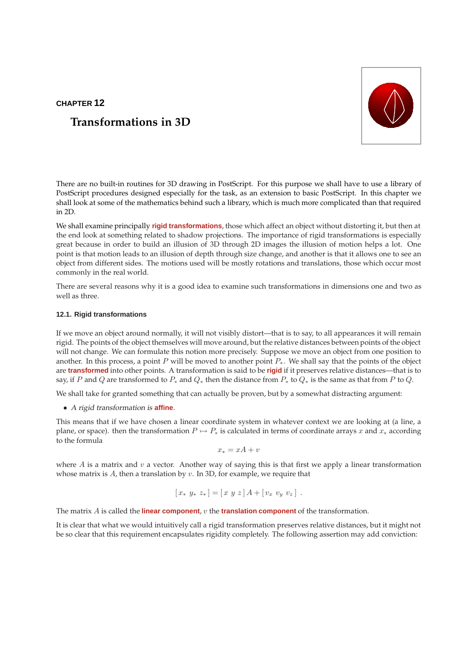# **CHAPTER 12**

# **Transformations in 3D**



There are no built-in routines for 3D drawing in PostScript. For this purpose we shall have to use a library of PostScript procedures designed especially for the task, as an extension to basic PostScript. In this chapter we shall look at some of the mathematics behind such a library, which is much more complicated than that required in 2D.

We shall examine principally **rigid transformations**, those which affect an object without distorting it, but then at the end look at something related to shadow projections. The importance of rigid transformations is especially great because in order to build an illusion of 3D through 2D images the illusion of motion helps a lot. One point is that motion leads to an illusion of depth through size change, and another is that it allows one to see an object from different sides. The motions used will be mostly rotations and translations, those which occur most commonly in the real world.

There are several reasons why it is a good idea to examine such transformations in dimensions one and two as well as three.

# **12.1. Rigid transformations**

If we move an object around normally, it will not visibly distort—that is to say, to all appearances it will remain rigid. The points of the object themselves will move around, but the relative distances between points of the object will not change. We can formulate this notion more precisely. Suppose we move an object from one position to another. In this process, a point P will be moved to another point  $P_{*}$ . We shall say that the points of the object are **transformed** into other points. A transformation is said to be **rigid** if it preserves relative distances—that is to say, if P and Q are transformed to  $P_*$  and  $Q_*$  then the distance from  $P_*$  to  $Q_*$  is the same as that from P to Q.

We shall take for granted something that can actually be proven, but by a somewhat distracting argument:

• <sup>A</sup> rigid transformation is **affine**.

This means that if we have chosen a linear coordinate system in whatever context we are looking at (a line, a plane, or space). then the transformation  $P \mapsto P_*$  is calculated in terms of coordinate arrays x and  $x_*$  according to the formula

$$
x_* = xA + v
$$

where A is a matrix and v a vector. Another way of saying this is that first we apply a linear transformation whose matrix is  $A$ , then a translation by  $v$ . In 3D, for example, we require that

$$
[x, y, z_*] = [x y z] A + [v_x v_y v_z].
$$

The matrix A is called the **linear component**, v the **translation component** of the transformation.

It is clear that what we would intuitively call a rigid transformation preserves relative distances, but it might not be so clear that this requirement encapsulates rigidity completely. The following assertion may add conviction: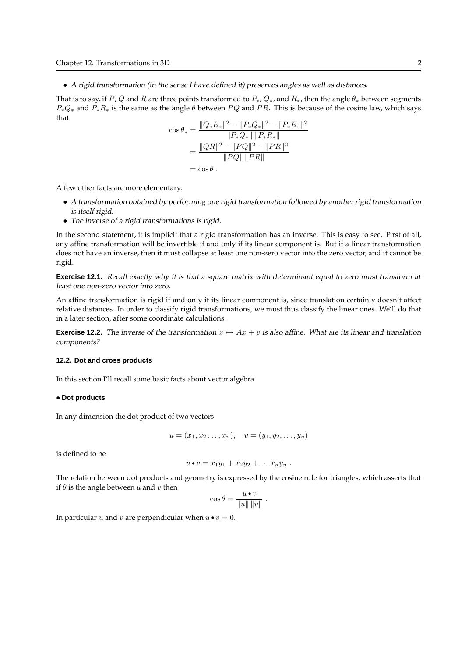• <sup>A</sup> rigid transformation (in the sense <sup>I</sup> have defined it) preserves angles as well as distances.

That is to say, if P, Q and R are three points transformed to  $P_*, Q_*,$  and  $R_*,$  then the angle  $\theta_*$  between segments  $P_{*}Q_{*}$  and  $\overline{P_{*}R_{*}}$  is the same as the angle  $\theta$  between  $PQ$  and  $PR$ . This is because of the cosine law, which says that

$$
\cos \theta_* = \frac{\|Q_* R_*\|^2 - \|P_* Q_*\|^2 - \|P_* R_*\|^2}{\|P_* Q_*\| \|P_* R_*\|}
$$

$$
= \frac{\|QR\|^2 - \|PQ\|^2 - \|PR\|^2}{\|PQ\| \|PR\|}
$$

$$
= \cos \theta.
$$

A few other facts are more elementary:

- <sup>A</sup> transformation obtained by performing one rigid transformation followed by another rigid transformation is itself rigid.
- The inverse of <sup>a</sup> rigid transformations is rigid.

In the second statement, it is implicit that a rigid transformation has an inverse. This is easy to see. First of all, any affine transformation will be invertible if and only if its linear component is. But if a linear transformation does not have an inverse, then it must collapse at least one non-zero vector into the zero vector, and it cannot be rigid.

**Exercise 12.1.** Recall exactly why it is that a square matrix with determinant equal to zero must transform at least one non-zero vector into zero.

An affine transformation is rigid if and only if its linear component is, since translation certainly doesn't affect relative distances. In order to classify rigid transformations, we must thus classify the linear ones. We'll do that in a later section, after some coordinate calculations.

**Exercise 12.2.** The inverse of the transformation  $x \mapsto Ax + v$  is also affine. What are its linear and translation components?

#### **12.2. Dot and cross products**

In this section I'll recall some basic facts about vector algebra.

## • **Dot products**

In any dimension the dot product of two vectors

$$
u = (x_1, x_2, \ldots, x_n), \quad v = (y_1, y_2, \ldots, y_n)
$$

is defined to be

$$
u\bullet v=x_1y_1+x_2y_2+\cdots x_ny_n.
$$

The relation between dot products and geometry is expressed by the cosine rule for triangles, which asserts that if  $\theta$  is the angle between u and v then

$$
\cos \theta = \frac{u \bullet v}{\|u\| \|v\|}.
$$

In particular u and v are perpendicular when  $u \bullet v = 0$ .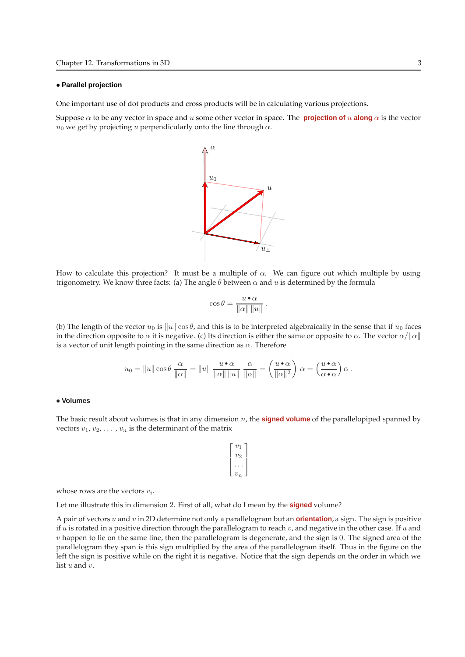#### • **Parallel projection**

One important use of dot products and cross products will be in calculating various projections.

Suppose  $\alpha$  to be any vector in space and u some other vector in space. The **projection of** u **along**  $\alpha$  is the vector  $u_0$  we get by projecting u perpendicularly onto the line through  $\alpha$ .

How to calculate this projection? It must be a multiple of  $\alpha$ . We can figure out which multiple by using trigonometry. We know three facts: (a) The angle  $\theta$  between  $\alpha$  and u is determined by the formula

$$
\cos \theta = \frac{u \bullet \alpha}{\|\alpha\| \, \|u\|} \; .
$$

(b) The length of the vector  $u_0$  is  $||u|| \cos \theta$ , and this is to be interpreted algebraically in the sense that if  $u_0$  faces in the direction opposite to  $\alpha$  it is negative. (c) Its direction is either the same or opposite to  $\alpha$ . The vector  $\alpha/||\alpha||$ is a vector of unit length pointing in the same direction as  $\alpha$ . Therefore

$$
u_0 = ||u|| \cos \theta \frac{\alpha}{\|\alpha\|} = ||u|| \frac{u \cdot \alpha}{\|\alpha\| ||u||} \frac{\alpha}{\| \alpha \|} = \left(\frac{u \cdot \alpha}{\|\alpha\|^2}\right) \alpha = \left(\frac{u \cdot \alpha}{\alpha \cdot \alpha}\right) \alpha.
$$

#### • **Volumes**

The basic result about volumes is that in any dimension n, the **signed volume** of the parallelopiped spanned by vectors  $v_1, v_2, \ldots, v_n$  is the determinant of the matrix

$$
\begin{bmatrix} v_1 \\ v_2 \\ \dots \\ v_n \end{bmatrix}
$$

whose rows are the vectors  $v_i$ .

Let me illustrate this in dimension 2. First of all, what do I mean by the **signed** volume?

A pair of vectors u and v in 2D determine not only a parallelogram but an **orientation**, a sign. The sign is positive if u is rotated in a positive direction through the parallelogram to reach  $v$ , and negative in the other case. If u and  $v$  happen to lie on the same line, then the parallelogram is degenerate, and the sign is  $0$ . The signed area of the parallelogram they span is this sign multiplied by the area of the parallelogram itself. Thus in the figure on the left the sign is positive while on the right it is negative. Notice that the sign depends on the order in which we list u and v.

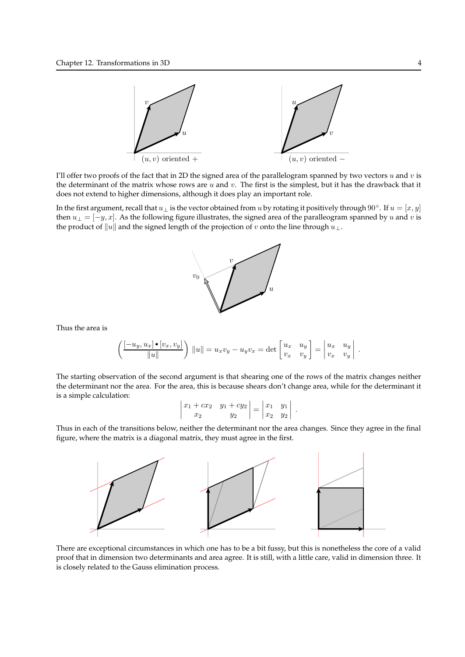

I'll offer two proofs of the fact that in 2D the signed area of the parallelogram spanned by two vectors  $u$  and  $v$  is the determinant of the matrix whose rows are  $u$  and  $v$ . The first is the simplest, but it has the drawback that it does not extend to higher dimensions, although it does play an important role.

In the first argument, recall that  $u_\perp$  is the vector obtained from  $u$  by rotating it positively through  $90^\circ$ . If  $u = [x, y]$ then  $u_{\perp} = [-y, x]$ . As the following figure illustrates, the signed area of the paralleogram spanned by u and v is the product of  $||u||$  and the signed length of the projection of v onto the line through  $u_{\perp}$ .



Thus the area is

$$
\left(\frac{[-u_y, u_x] \bullet [v_x, v_y]}{\|u\|}\right) \|u\| = u_x v_y - u_y v_x = \det \begin{bmatrix} u_x & u_y \\ v_x & v_y \end{bmatrix} = \begin{vmatrix} u_x & u_y \\ v_x & v_y \end{vmatrix}
$$

The starting observation of the second argument is that shearing one of the rows of the matrix changes neither the determinant nor the area. For the area, this is because shears don't change area, while for the determinant it is a simple calculation:

$$
\begin{vmatrix} x_1 + cx_2 & y_1 + cy_2 \ x_2 & y_2 \end{vmatrix} = \begin{vmatrix} x_1 & y_1 \ x_2 & y_2 \end{vmatrix}.
$$

Thus in each of the transitions below, neither the determinant nor the area changes. Since they agree in the final figure, where the matrix is a diagonal matrix, they must agree in the first.



There are exceptional circumstances in which one has to be a bit fussy, but this is nonetheless the core of a valid proof that in dimension two determinants and area agree. It is still, with a little care, valid in dimension three. It is closely related to the Gauss elimination process.

.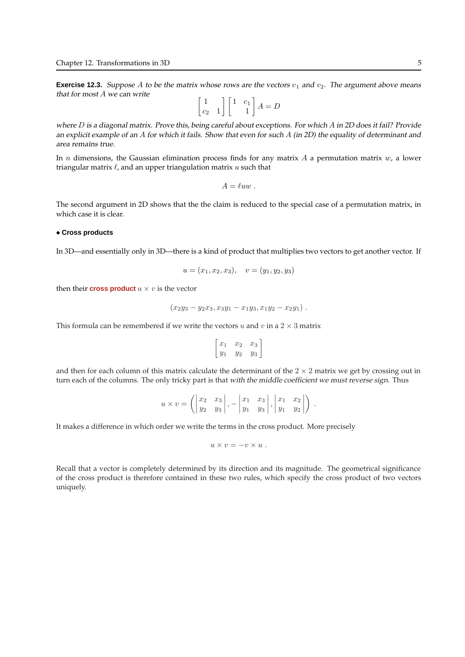**Exercise 12.3.** Suppose A to be the matrix whose rows are the vectors  $v_1$  and  $v_2$ . The argument above means that for most A we can write

$$
\begin{bmatrix} 1 \\ c_2 & 1 \end{bmatrix} \begin{bmatrix} 1 & c_1 \\ & 1 \end{bmatrix} A = D
$$

where D is a diagonal matrix. Prove this, being careful about exceptions. For which A in 2D does it fail? Provide an explicit example of an  $A$  for which it fails. Show that even for such  $A$  (in 2D) the equality of determinant and area remains true.

In *n* dimensions, the Gaussian elimination process finds for any matrix  $A$  a permutation matrix  $w$ , a lower triangular matrix  $\ell$ , and an upper triangulation matrix  $u$  such that

$$
A = \ell uw.
$$

The second argument in 2D shows that the the claim is reduced to the special case of a permutation matrix, in which case it is clear.

### • **Cross products**

In 3D—and essentially only in 3D—there is a kind of product that multiplies two vectors to get another vector. If

$$
u = (x_1, x_2, x_3), \quad v = (y_1, y_2, y_3)
$$

then their **cross product**  $u \times v$  is the vector

$$
(x_2y_3 - y_2x_3, x_3y_1 - x_1y_3, x_1y_2 - x_2y_1).
$$

This formula can be remembered if we write the vectors u and v in a  $2 \times 3$  matrix

$$
\begin{bmatrix} x_1 & x_2 & x_3 \ y_1 & y_2 & y_3 \end{bmatrix}
$$

and then for each column of this matrix calculate the determinant of the  $2 \times 2$  matrix we get by crossing out in turn each of the columns. The only tricky part is that with the middle coefficient we must reverse sign. Thus

$$
u \times v = \left( \begin{vmatrix} x_2 & x_3 \\ y_2 & y_3 \end{vmatrix}, - \begin{vmatrix} x_1 & x_3 \\ y_1 & y_3 \end{vmatrix}, \begin{vmatrix} x_1 & x_2 \\ y_1 & y_2 \end{vmatrix} \right) .
$$

It makes a difference in which order we write the terms in the cross product. More precisely

 $u \times v = -v \times u$ .

Recall that a vector is completely determined by its direction and its magnitude. The geometrical significance of the cross product is therefore contained in these two rules, which specify the cross product of two vectors uniquely.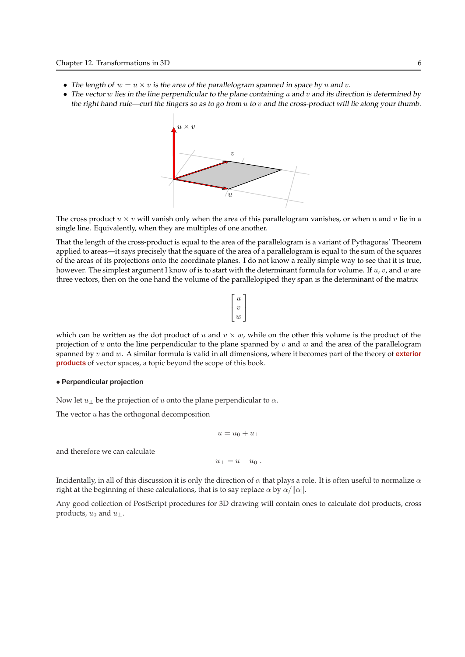- The length of  $w = u \times v$  is the area of the parallelogram spanned in space by u and v.
- The vector  $w$  lies in the line perpendicular to the plane containing  $u$  and  $v$  and its direction is determined by the right hand rule—curl the fingers so as to go from  $u$  to  $v$  and the cross-product will lie along your thumb.



The cross product  $u \times v$  will vanish only when the area of this parallelogram vanishes, or when u and v lie in a single line. Equivalently, when they are multiples of one another.

That the length of the cross-product is equal to the area of the parallelogram is a variant of Pythagoras' Theorem applied to areas—it says precisely that the square of the area of a parallelogram is equal to the sum of the squares of the areas of its projections onto the coordinate planes. I do not know a really simple way to see that it is true, however. The simplest argument I know of is to start with the determinant formula for volume. If  $u, v$ , and  $w$  are three vectors, then on the one hand the volume of the parallelopiped they span is the determinant of the matrix



which can be written as the dot product of u and  $v \times w$ , while on the other this volume is the product of the projection of  $u$  onto the line perpendicular to the plane spanned by  $v$  and  $w$  and the area of the parallelogram spanned by v and w. A similar formula is valid in all dimensions, where it becomes part of the theory of **exterior products** of vector spaces, a topic beyond the scope of this book.

### • **Perpendicular projection**

Now let  $u_{\perp}$  be the projection of u onto the plane perpendicular to  $\alpha$ .

The vector  $u$  has the orthogonal decomposition

$$
u=u_0+u_\perp
$$

and therefore we can calculate

$$
u_{\perp}=u-u_0.
$$

Incidentally, in all of this discussion it is only the direction of  $\alpha$  that plays a role. It is often useful to normalize  $\alpha$ right at the beginning of these calculations, that is to say replace  $\alpha$  by  $\alpha/||\alpha||$ .

Any good collection of PostScript procedures for 3D drawing will contain ones to calculate dot products, cross products,  $u_0$  and  $u_{\perp}$ .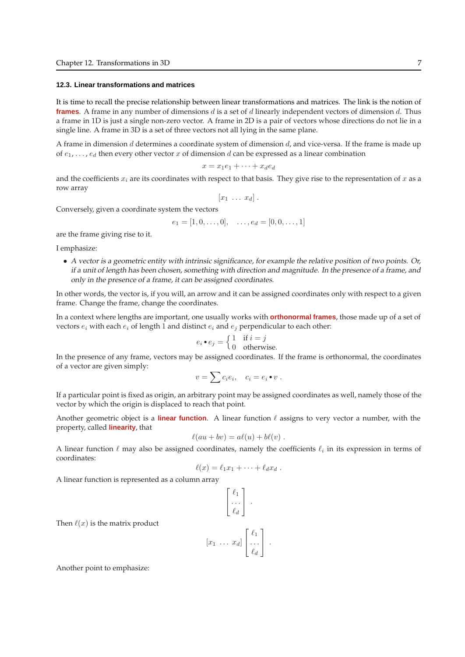## **12.3. Linear transformations and matrices**

It is time to recall the precise relationship between linear transformations and matrices. The link is the notion of **frames**. A frame in any number of dimensions d is a set of d linearly independent vectors of dimension d. Thus a frame in 1D is just a single non-zero vector. A frame in 2D is a pair of vectors whose directions do not lie in a single line. A frame in 3D is a set of three vectors not all lying in the same plane.

A frame in dimension  $d$  determines a coordinate system of dimension  $d$ , and vice-versa. If the frame is made up of  $e_1, \ldots, e_d$  then every other vector x of dimension d can be expressed as a linear combination

$$
x = x_1 e_1 + \dots + x_d e_d
$$

and the coefficients  $x_i$  are its coordinates with respect to that basis. They give rise to the representation of  $x$  as a row array

$$
[x_1 \ldots x_d].
$$

Conversely, given a coordinate system the vectors

$$
e_1 = [1, 0, \dots, 0], \quad \dots, e_d = [0, 0, \dots, 1]
$$

are the frame giving rise to it.

I emphasize:

• <sup>A</sup> vector is <sup>a</sup> geometric entity with intrinsic significance, for example the relative position of two points. Or, if <sup>a</sup> unit of length has been chosen, something with direction and magnitude. In the presence of <sup>a</sup> frame, and only in the presence of <sup>a</sup> frame, it can be assigned coordinates.

In other words, the vector is, if you will, an arrow and it can be assigned coordinates only with respect to a given frame. Change the frame, change the coordinates.

In a context where lengths are important, one usually works with **orthonormal frames**, those made up of a set of vectors  $e_i$  with each  $e_i$  of length 1 and distinct  $e_i$  and  $e_j$  perpendicular to each other:

$$
e_i \bullet e_j = \begin{cases} 1 & \text{if } i = j \\ 0 & \text{otherwise.} \end{cases}
$$

In the presence of any frame, vectors may be assigned coordinates. If the frame is orthonormal, the coordinates of a vector are given simply:

$$
v = \sum c_i e_i, \quad c_i = e_i \bullet v.
$$

If a particular point is fixed as origin, an arbitrary point may be assigned coordinates as well, namely those of the vector by which the origin is displaced to reach that point.

Another geometric object is a **linear function**. A linear function ℓ assigns to very vector a number, with the property, called **linearity**, that

$$
\ell(au + bv) = a\ell(u) + b\ell(v) .
$$

A linear function  $\ell$  may also be assigned coordinates, namely the coefficients  $\ell_i$  in its expression in terms of coordinates:

$$
\ell(x) = \ell_1 x_1 + \cdots + \ell_d x_d.
$$

A linear function is represented as a column array

$$
\begin{bmatrix} \ell_1 \\ \cdots \\ \ell_d \end{bmatrix}.
$$

$$
[x_1 \ \cdots \ x_d] \begin{bmatrix} \ell_1 \\ \cdots \\ \ell_d \end{bmatrix}.
$$

Then  $\ell(x)$  is the matrix product

Another point to emphasize: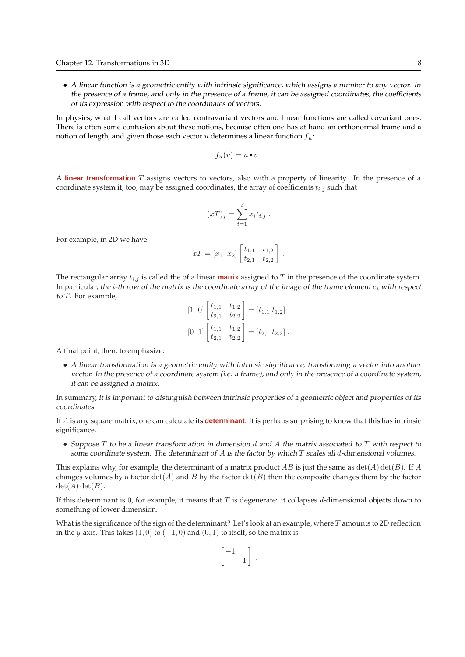• <sup>A</sup> linear function is <sup>a</sup> geometric entity with intrinsic significance, which assigns <sup>a</sup> number to any vector. In the presence of <sup>a</sup> frame, and only in the presence of <sup>a</sup> frame, it can be assigned coordinates, the coefficients of its expression with respect to the coordinates of vectors.

In physics, what I call vectors are called contravariant vectors and linear functions are called covariant ones. There is often some confusion about these notions, because often one has at hand an orthonormal frame and a notion of length, and given those each vector u determines a linear function  $f_u$ :

$$
f_u(v) = u \bullet v \ .
$$

A **linear transformation** T assigns vectors to vectors, also with a property of linearity. In the presence of a coordinate system it, too, may be assigned coordinates, the array of coefficients  $t_{i,j}$  such that

$$
(xT)_j = \sum_{i=1}^d x_i t_{i,j} .
$$

For example, in 2D we have

$$
xT = [x_1 \ x_2] \begin{bmatrix} t_{1,1} & t_{1,2} \\ t_{2,1} & t_{2,2} \end{bmatrix}.
$$

The rectangular array  $t_{i,j}$  is called the of a linear **matrix** assigned to  $T$  in the presence of the coordinate system. In particular, the  $i$ -th row of the matrix is the coordinate array of the image of the frame element  $e_i$  with respect to T. For example,

$$
\begin{bmatrix} 1 & 0 \end{bmatrix} \begin{bmatrix} t_{1,1} & t_{1,2} \\ t_{2,1} & t_{2,2} \end{bmatrix} = [t_{1,1} \ t_{1,2}]
$$

$$
\begin{bmatrix} 0 & 1 \end{bmatrix} \begin{bmatrix} t_{1,1} & t_{1,2} \\ t_{2,1} & t_{2,2} \end{bmatrix} = [t_{2,1} \ t_{2,2}].
$$

A final point, then, to emphasize:

• <sup>A</sup> linear transformation is <sup>a</sup> geometric entity with intrinsic significance, transforming <sup>a</sup> vector into another vector. In the presence of <sup>a</sup> coordinate system (i.e. <sup>a</sup> frame), and only in the presence of <sup>a</sup> coordinate system, it can be assigned <sup>a</sup> matrix.

In summary, it is important to distinguish between intrinsic properties of <sup>a</sup> geometric object and properties of its coordinates.

If A is any square matrix, one can calculate its **determinant**. It is perhaps surprising to know that this has intrinsic significance.

• Suppose  $T$  to be a linear transformation in dimension  $d$  and  $A$  the matrix associated to  $T$  with respect to some coordinate system. The determinant of  $A$  is the factor by which  $T$  scales all  $d$ -dimensional volumes.

This explains why, for example, the determinant of a matrix product AB is just the same as  $\det(A)\det(B)$ . If A changes volumes by a factor  $\det(A)$  and B by the factor  $\det(B)$  then the composite changes them by the factor  $\det(A) \det(B)$ .

If this determinant is 0, for example, it means that  $T$  is degenerate: it collapses  $d$ -dimensional objects down to something of lower dimension.

What is the significance of the sign of the determinant? Let's look at an example, where  $T$  amounts to 2D reflection in the y-axis. This takes  $(1, 0)$  to  $(-1, 0)$  and  $(0, 1)$  to itself, so the matrix is

$$
\begin{bmatrix} -1 & \\ & 1 \end{bmatrix}
$$

,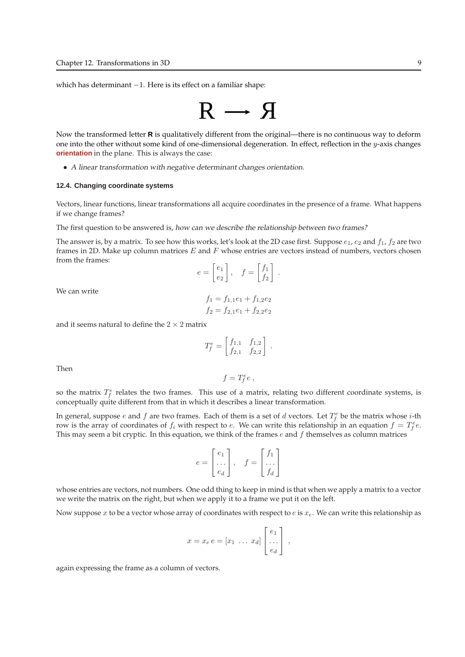which has determinant  $-1$ . Here is its effect on a familiar shape:



Now the transformed letter **R** is qualitatively different from the original—there is no continuous way to deform one into the other without some kind of one-dimensional degeneration. In effect, reflection in the  $y$ -axis changes **orientation** in the plane. This is always the case:

• <sup>A</sup> linear transformation with negative determinant changes orientation.

#### **12.4. Changing coordinate systems**

Vectors, linear functions, linear transformations all acquire coordinates in the presence of a frame. What happens if we change frames?

The first question to be answered is, how can we describe the relationship between two frames?

The answer is, by a matrix. To see how this works, let's look at the 2D case first. Suppose  $e_1$ ,  $e_2$  and  $f_1$ ,  $f_2$  are two frames in 2D. Make up column matrices  $E$  and  $F$  whose entries are vectors instead of numbers, vectors chosen from the frames:

$$
e = \begin{bmatrix} e_1 \\ e_2 \end{bmatrix}, \quad f = \begin{bmatrix} f_1 \\ f_2 \end{bmatrix}
$$

.

We can write

$$
f_1 = f_{1,1}e_1 + f_{1,2}e_2
$$
  

$$
f_2 = f_{2,1}e_1 + f_{2,2}e_2
$$

and it seems natural to define the  $2 \times 2$  matrix

$$
T_f^e = \begin{bmatrix} f_{1,1} & f_{1,2} \\ f_{2,1} & f_{2,2} \end{bmatrix}.
$$

Then

$$
f=T_f^e e\;,
$$

so the matrix  $T_f^e$  relates the two frames. This use of a matrix, relating two different coordinate systems, is conceptually quite different from that in which it describes a linear transformation.

In general, suppose  $e$  and  $f$  are two frames. Each of them is a set of  $d$  vectors. Let  $T_f^e$  be the matrix whose  $i$ -th row is the array of coordinates of  $f_i$  with respect to  $e$ . We can write this relationship in an equation  $f = T_f^e e$ . This may seem a bit cryptic. In this equation, we think of the frames  $e$  and  $f$  themselves as column matrices

$$
e = \begin{bmatrix} e_1 \\ \dots \\ e_d \end{bmatrix}, \quad f = \begin{bmatrix} f_1 \\ \dots \\ f_d \end{bmatrix}
$$

whose entries are vectors, not numbers. One odd thing to keep in mind is that when we apply a matrix to a vector we write the matrix on the right, but when we apply it to a frame we put it on the left.

Now suppose x to be a vector whose array of coordinates with respect to  $e$  is  $x_e$ . We can write this relationship as

$$
x = x_e e = [x_1 \dots x_d] \begin{bmatrix} e_1 \\ \dots \\ e_d \end{bmatrix},
$$

again expressing the frame as a column of vectors.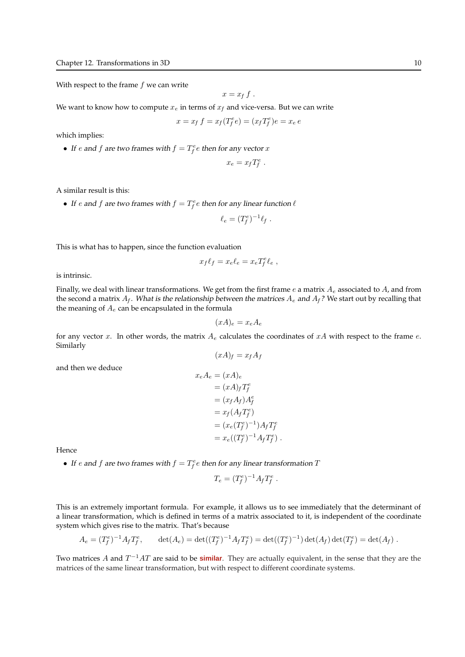With respect to the frame  $f$  we can write

$$
x=x_f\,f.
$$

We want to know how to compute  $x_e$  in terms of  $x_f$  and vice-versa. But we can write

$$
x = x_f f = x_f(T_f^e e) = (x_f T_f^e)e = x_e e
$$

which implies:

• If  $e$  and  $f$  are two frames with  $f = T_f^e e$  then for any vector  $x$ 

$$
x_e = x_f T_f^e.
$$

A similar result is this:

• If e and f are two frames with  $f = T_f^e e$  then for any linear function  $\ell$ 

$$
\ell_e = (T_f^e)^{-1} \ell_f.
$$

This is what has to happen, since the function evaluation

$$
x_f \ell_f = x_e \ell_e = x_e T_f^e \ell_e ,
$$

is intrinsic.

and then we deduce

Finally, we deal with linear transformations. We get from the first frame  $e$  a matrix  $A_e$  associated to  $A$ , and from the second a matrix  $A_f$ . What is the relationship between the matrices  $A_e$  and  $A_f$ ? We start out by recalling that the meaning of  $A_e$  can be encapsulated in the formula

$$
(xA)_e = x_e A_e
$$

for any vector x. In other words, the matrix  $A_e$  calculates the coordinates of  $xA$  with respect to the frame  $e$ . Similarly  $(rA)_r = r_fA_f$ 

$$
(x \Lambda)_f = x_f \Lambda_f
$$
  
\n
$$
x_e A_e = (x A)_e
$$
  
\n
$$
= (x A)_f T_f^e
$$
  
\n
$$
= (x_f A_f) A_f^e
$$
  
\n
$$
= x_f (A_f T_f^e)
$$
  
\n
$$
= (x_e (T_f^e)^{-1}) A_f T_f^e
$$
  
\n
$$
= x_e ((T_f^e)^{-1} A_f T_f^e).
$$

Hence

• If e and f are two frames with  $f = T_f^e e$  then for any linear transformation T

$$
T_e = (T_f^e)^{-1} A_f T_f^e.
$$

This is an extremely important formula. For example, it allows us to see immediately that the determinant of a linear transformation, which is defined in terms of a matrix associated to it, is independent of the coordinate system which gives rise to the matrix. That's because

$$
A_e = (T_f^e)^{-1} A_f T_f^e, \qquad \det(A_e) = \det((T_f^e)^{-1} A_f T_f^e) = \det((T_f^e)^{-1}) \det(A_f) \det(T_f^e) = \det(A_f) .
$$

Two matrices *A* and  $T^{-1}AT$  are said to be **similar**. They are actually equivalent, in the sense that they are the matrices of the same linear transformation, but with respect to different coordinate systems.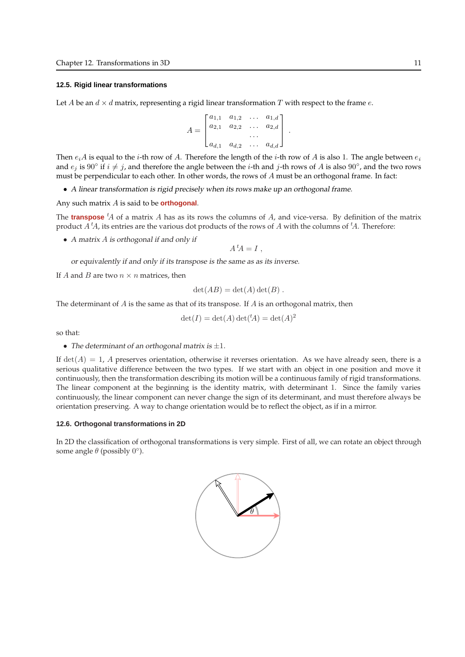## **12.5. Rigid linear transformations**

Let A be an  $d \times d$  matrix, representing a rigid linear transformation T with respect to the frame e.

$$
A = \begin{bmatrix} a_{1,1} & a_{1,2} & \dots & a_{1,d} \\ a_{2,1} & a_{2,2} & \dots & a_{2,d} \\ \dots & \dots & \dots \\ a_{d,1} & a_{d,2} & \dots & a_{d,d} \end{bmatrix}.
$$

Then  $e_iA$  is equal to the *i*-th row of A. Therefore the length of the *i*-th row of A is also 1. The angle between  $e_i$ and  $e_j$  is  $90°$  if  $i \neq j$ , and therefore the angle between the *i*-th and *j*-th rows of A is also  $90°$ , and the two rows must be perpendicular to each other. In other words, the rows of  $A$  must be an orthogonal frame. In fact:

- <sup>A</sup> linear transformation is rigid precisely when its rows make up an orthogonal frame.
- Any such matrix A is said to be **orthogonal**.

The **transpose**  ${}^tA$  of a matrix A has as its rows the columns of  $A$ , and vice-versa. By definition of the matrix product  $A^tA$ , its entries are the various dot products of the rows of A with the columns of  $^tA$ . Therefore:

• A matrix A is orthogonal if and only if

$$
A^t A = I \; ,
$$

or equivalently if and only if its transpose is the same as as its inverse.

If A and B are two  $n \times n$  matrices, then

$$
\det(AB) = \det(A)\det(B).
$$

The determinant of  $A$  is the same as that of its transpose. If  $A$  is an orthogonal matrix, then

$$
\det(I) = \det(A)\det({}^t\!A) = \det(A)^2
$$

so that:

• The determinant of an orthogonal matrix is  $\pm 1$ .

If  $det(A) = 1$ , A preserves orientation, otherwise it reverses orientation. As we have already seen, there is a serious qualitative difference between the two types. If we start with an object in one position and move it continuously, then the transformation describing its motion will be a continuous family of rigid transformations. The linear component at the beginning is the identity matrix, with determinant 1. Since the family varies continuously, the linear component can never change the sign of its determinant, and must therefore always be orientation preserving. A way to change orientation would be to reflect the object, as if in a mirror.

## **12.6. Orthogonal transformations in 2D**

In 2D the classification of orthogonal transformations is very simple. First of all, we can rotate an object through some angle  $\theta$  (possibly  $0^{\circ}$ ).

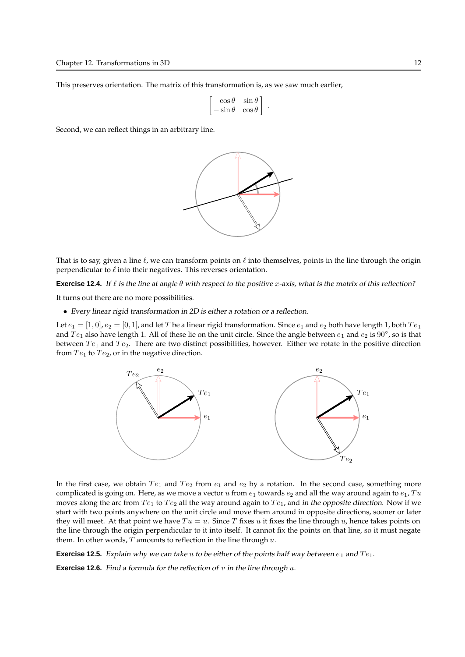This preserves orientation. The matrix of this transformation is, as we saw much earlier,

$$
\begin{bmatrix}\n\cos\theta & \sin\theta \\
-\sin\theta & \cos\theta\n\end{bmatrix}.
$$

Second, we can reflect things in an arbitrary line.



That is to say, given a line  $\ell$ , we can transform points on  $\ell$  into themselves, points in the line through the origin perpendicular to  $\ell$  into their negatives. This reverses orientation.

**Exercise 12.4.** If  $\ell$  is the line at angle  $\theta$  with respect to the positive x-axis, what is the matrix of this reflection?

It turns out there are no more possibilities.

• Every linear rigid transformation in 2D is either <sup>a</sup> rotation or <sup>a</sup> reflection.

Let  $e_1 = [1, 0], e_2 = [0, 1]$ , and let T be a linear rigid transformation. Since  $e_1$  and  $e_2$  both have length 1, both  $Te_1$ and  $Te_1$  also have length 1. All of these lie on the unit circle. Since the angle between  $e_1$  and  $e_2$  is  $90^\circ$ , so is that between  $Te_1$  and  $Te_2$ . There are two distinct possibilities, however. Either we rotate in the positive direction from  $Te_1$  to  $Te_2$ , or in the negative direction.



In the first case, we obtain  $Te_1$  and  $Te_2$  from  $e_1$  and  $e_2$  by a rotation. In the second case, something more complicated is going on. Here, as we move a vector u from  $e_1$  towards  $e_2$  and all the way around again to  $e_1$ ,  $Tu$ moves along the arc from  $Te_1$  to  $Te_2$  all the way around again to  $Te_1$ , and in the opposite direction. Now if we start with two points anywhere on the unit circle and move them around in opposite directions, sooner or later they will meet. At that point we have  $Tu = u$ . Since T fixes u it fixes the line through u, hence takes points on the line through the origin perpendicular to it into itself. It cannot fix the points on that line, so it must negate them. In other words,  $T$  amounts to reflection in the line through  $u$ .

**Exercise 12.5.** Explain why we can take u to be either of the points half way between  $e_1$  and  $Te_1$ .

**Exercise 12.6.** Find a formula for the reflection of  $v$  in the line through  $u$ .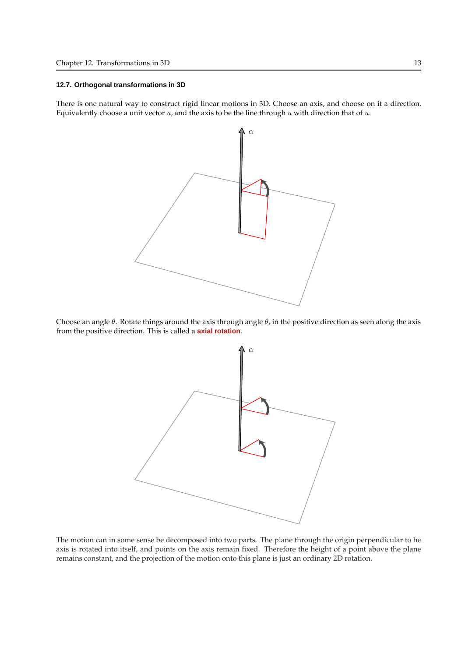# **12.7. Orthogonal transformations in 3D**

There is one natural way to construct rigid linear motions in 3D. Choose an axis, and choose on it a direction. Equivalently choose a unit vector  $u$ , and the axis to be the line through  $u$  with direction that of  $u$ .



Choose an angle  $\theta$ . Rotate things around the axis through angle  $\theta$ , in the positive direction as seen along the axis from the positive direction. This is called a **axial rotation**.



The motion can in some sense be decomposed into two parts. The plane through the origin perpendicular to he axis is rotated into itself, and points on the axis remain fixed. Therefore the height of a point above the plane remains constant, and the projection of the motion onto this plane is just an ordinary 2D rotation.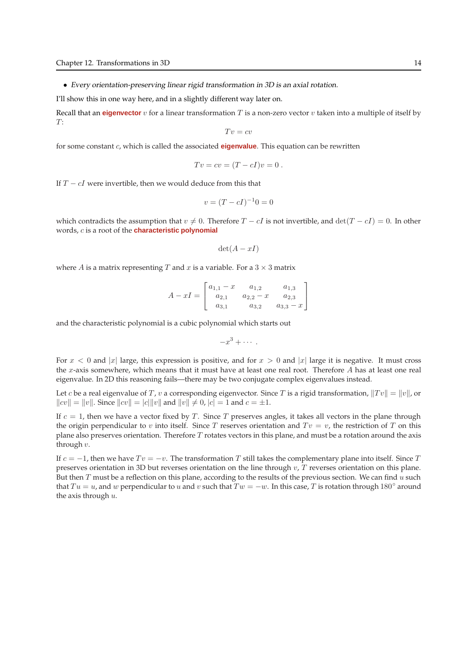• Every orientation-preserving linear rigid transformation in 3D is an axial rotation.

I'll show this in one way here, and in a slightly different way later on.

Recall that an **eigenvector** v for a linear transformation  $T$  is a non-zero vector v taken into a multiple of itself by  $T$ :

$$
Tv = cv
$$

for some constant c, which is called the associated **eigenvalue**. This equation can be rewritten

$$
Tv = cv = (T - cI)v = 0.
$$

If  $T - cI$  were invertible, then we would deduce from this that

$$
v = (T - cI)^{-1}0 = 0
$$

which contradicts the assumption that  $v \neq 0$ . Therefore  $T - cI$  is not invertible, and  $det(T - cI) = 0$ . In other words, c is a root of the **characteristic polynomial**

$$
\det(A - xI)
$$

where *A* is a matrix representing *T* and *x* is a variable. For a  $3 \times 3$  matrix

$$
A - xI = \begin{bmatrix} a_{1,1} - x & a_{1,2} & a_{1,3} \\ a_{2,1} & a_{2,2} - x & a_{2,3} \\ a_{3,1} & a_{3,2} & a_{3,3} - x \end{bmatrix}
$$

and the characteristic polynomial is a cubic polynomial which starts out

$$
-x^3+\cdots.
$$

For  $x < 0$  and |x| large, this expression is positive, and for  $x > 0$  and |x| large it is negative. It must cross the x-axis somewhere, which means that it must have at least one real root. Therefore A has at least one real eigenvalue. In 2D this reasoning fails—there may be two conjugate complex eigenvalues instead.

Let c be a real eigenvalue of T, v a corresponding eigenvector. Since T is a rigid transformation,  $||Tv|| = ||v||$ , or  $||cv|| = ||v||$ . Since  $||cv|| = |c|| ||v||$  and  $||v|| \neq 0$ ,  $|c| = 1$  and  $c = \pm 1$ .

If  $c = 1$ , then we have a vector fixed by T. Since T preserves angles, it takes all vectors in the plane through the origin perpendicular to v into itself. Since T reserves orientation and  $Tv = v$ , the restriction of T on this plane also preserves orientation. Therefore  $T$  rotates vectors in this plane, and must be a rotation around the axis through v.

If  $c = -1$ , then we have  $Tv = -v$ . The transformation T still takes the complementary plane into itself. Since T preserves orientation in 3D but reverses orientation on the line through  $v$ ,  $T$  reverses orientation on this plane. But then  $T$  must be a reflection on this plane, according to the results of the previous section. We can find  $u$  such that  $Tu = u$ , and w perpendicular to u and v such that  $Tw = -w$ . In this case, T is rotation through 180° around the axis through  $u$ .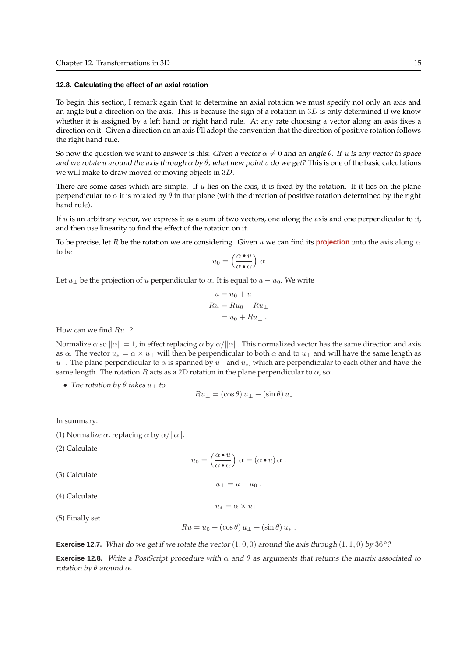#### **12.8. Calculating the effect of an axial rotation**

To begin this section, I remark again that to determine an axial rotation we must specify not only an axis and an angle but a direction on the axis. This is because the sign of a rotation in  $3D$  is only determined if we know whether it is assigned by a left hand or right hand rule. At any rate choosing a vector along an axis fixes a direction on it. Given a direction on an axis I'll adopt the convention that the direction of positive rotation follows the right hand rule.

So now the question we want to answer is this: Given a vector  $\alpha \neq 0$  and an angle  $\theta$ . If u is any vector in space and we rotate u around the axis through  $\alpha$  by  $\theta$ , what new point v do we get? This is one of the basic calculations we will make to draw moved or moving objects in 3D.

There are some cases which are simple. If  $u$  lies on the axis, it is fixed by the rotation. If it lies on the plane perpendicular to  $\alpha$  it is rotated by  $\theta$  in that plane (with the direction of positive rotation determined by the right hand rule).

If  $u$  is an arbitrary vector, we express it as a sum of two vectors, one along the axis and one perpendicular to it, and then use linearity to find the effect of the rotation on it.

To be precise, let R be the rotation we are considering. Given u we can find its **projection** onto the axis along  $\alpha$ to be

$$
u_0 = \left(\frac{\alpha \bullet u}{\alpha \bullet \alpha}\right) \alpha
$$

Let  $u_{\perp}$  be the projection of u perpendicular to  $\alpha$ . It is equal to  $u - u_0$ . We write

$$
u = u_0 + u_{\perp}
$$
  
\n
$$
Ru = Ru_0 + Ru_{\perp}
$$
  
\n
$$
= u_0 + Ru_{\perp}.
$$

How can we find  $Ru_1$ ?

Normalize  $\alpha$  so  $\|\alpha\| = 1$ , in effect replacing  $\alpha$  by  $\alpha/\|\alpha\|$ . This normalized vector has the same direction and axis as  $\alpha$ . The vector  $u_* = \alpha \times u_{\perp}$  will then be perpendicular to both  $\alpha$  and to  $u_{\perp}$  and will have the same length as  $u_\perp$ . The plane perpendicular to  $\alpha$  is spanned by  $u_\perp$  and  $u_*$ , which are perpendicular to each other and have the same length. The rotation R acts as a 2D rotation in the plane perpendicular to  $\alpha$ , so:

• The rotation by  $\theta$  takes  $u_{\perp}$  to

$$
Ru_{\perp} = (\cos \theta) u_{\perp} + (\sin \theta) u_{*} .
$$

In summary:

- (1) Normalize  $\alpha$ , replacing  $\alpha$  by  $\alpha/||\alpha||$ .
- (2) Calculate

$$
u_0 = \left(\frac{\alpha \bullet u}{\alpha \bullet \alpha}\right) \alpha = (\alpha \bullet u) \alpha.
$$

$$
u_{\perp} = u - u_0.
$$

- (3) Calculate
- (4) Calculate
- (5) Finally set

$$
Ru = u_0 + (\cos \theta) u_{\perp} + (\sin \theta) u_{*} .
$$

 $u_* = \alpha \times u_{\perp}$ .

**Exercise 12.7.** What do we get if we rotate the vector  $(1,0,0)$  around the axis through  $(1,1,0)$  by  $36^{\circ}$ ?

**Exercise 12.8.** Write a PostScript procedure with  $\alpha$  and  $\theta$  as arguments that returns the matrix associated to rotation by  $θ$  around  $α$ .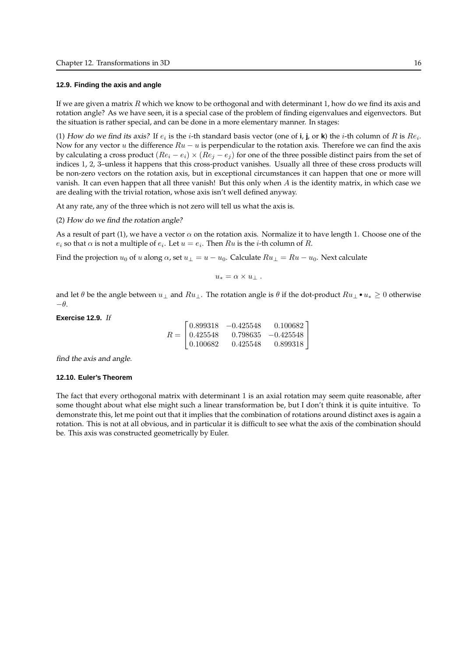#### **12.9. Finding the axis and angle**

If we are given a matrix  $R$  which we know to be orthogonal and with determinant 1, how do we find its axis and rotation angle? As we have seen, it is a special case of the problem of finding eigenvalues and eigenvectors. But the situation is rather special, and can be done in a more elementary manner. In stages:

(1) How do we find its axis? If  $e_i$  is the *i*-th standard basis vector (one of **i**, **j**, or **k**) the *i*-th column of R is  $Re_i$ . Now for any vector u the difference  $Ru - u$  is perpendicular to the rotation axis. Therefore we can find the axis by calculating a cross product  $(Re_i - e_i) \times (Re_j - e_j)$  for one of the three possible distinct pairs from the set of indices 1, 2, 3–unless it happens that this cross-product vanishes. Usually all three of these cross products will be non-zero vectors on the rotation axis, but in exceptional circumstances it can happen that one or more will vanish. It can even happen that all three vanish! But this only when  $A$  is the identity matrix, in which case we are dealing with the trivial rotation, whose axis isn't well defined anyway.

At any rate, any of the three which is not zero will tell us what the axis is.

(2) How do we find the rotation angle?

As a result of part (1), we have a vector  $\alpha$  on the rotation axis. Normalize it to have length 1. Choose one of the  $e_i$  so that  $\alpha$  is not a multiple of  $e_i$ . Let  $u = e_i$ . Then  $Ru$  is the *i*-th column of  $R$ .

Find the projection  $u_0$  of u along  $\alpha$ , set  $u_{\perp} = u - u_0$ . Calculate  $Ru_{\perp} = Ru - u_0$ . Next calculate

$$
u_*=\alpha\times u_\perp\;.
$$

and let  $\theta$  be the angle between  $u_{\perp}$  and  $Ru_{\perp}$ . The rotation angle is  $\theta$  if the dot-product  $Ru_{\perp} \cdot u_* \geq 0$  otherwise  $-\theta$ .

**Exercise 12.9.** If

|                      | $\begin{bmatrix} 0.899318 & -0.425548 \end{bmatrix}$ | $0.100682$ ]         |
|----------------------|------------------------------------------------------|----------------------|
| $R = \big  0.425548$ |                                                      | $0.798635 -0.425548$ |
| 0.100682             | 0.425548                                             | 0.899318             |

find the axis and angle.

# **12.10. Euler's Theorem**

The fact that every orthogonal matrix with determinant 1 is an axial rotation may seem quite reasonable, after some thought about what else might such a linear transformation be, but I don't think it is quite intuitive. To demonstrate this, let me point out that it implies that the combination of rotations around distinct axes is again a rotation. This is not at all obvious, and in particular it is difficult to see what the axis of the combination should be. This axis was constructed geometrically by Euler.